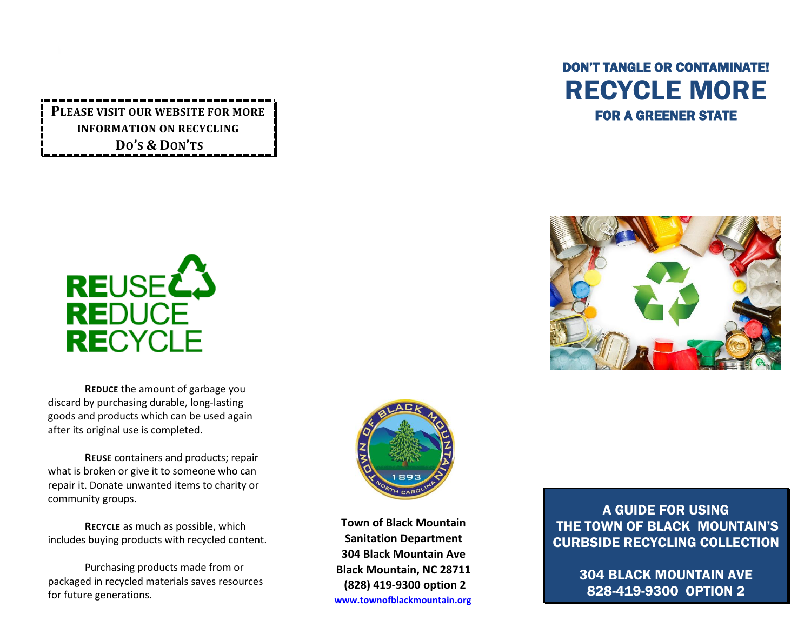**PLEASE VISIT OUR WEBSITE FOR MORE INFORMATION ON RECYCLING DO'S & DON'TS**







**REDUCE** the amount of garbage you discard by purchasing durable, long-lasting goods and products which can be used again after its original use is completed.

**REUSE** containers and products; repair what is broken or give it to someone who can repair it. Donate unwanted items to charity or community groups.

**RECYCLE** as much as possible, which includes buying products with recycled content.

Purchasing products made from or packaged in recycled materials saves resources for future generations.



**Town of Black Mountain Sanitation Department 304 Black Mountain Ave Black Mountain, NC 28711 (828) 419-9300 option 2 [www.townofblackmountain.org](http://www.townofblackmountain.org/)**

A GUIDE FOR USING THE TOWN OF BLACK MOUNTAIN'S CURBSIDE RECYCLING COLLECTION

> 304 BLACK MOUNTAIN AVE 828-419-9300 OPTION 2